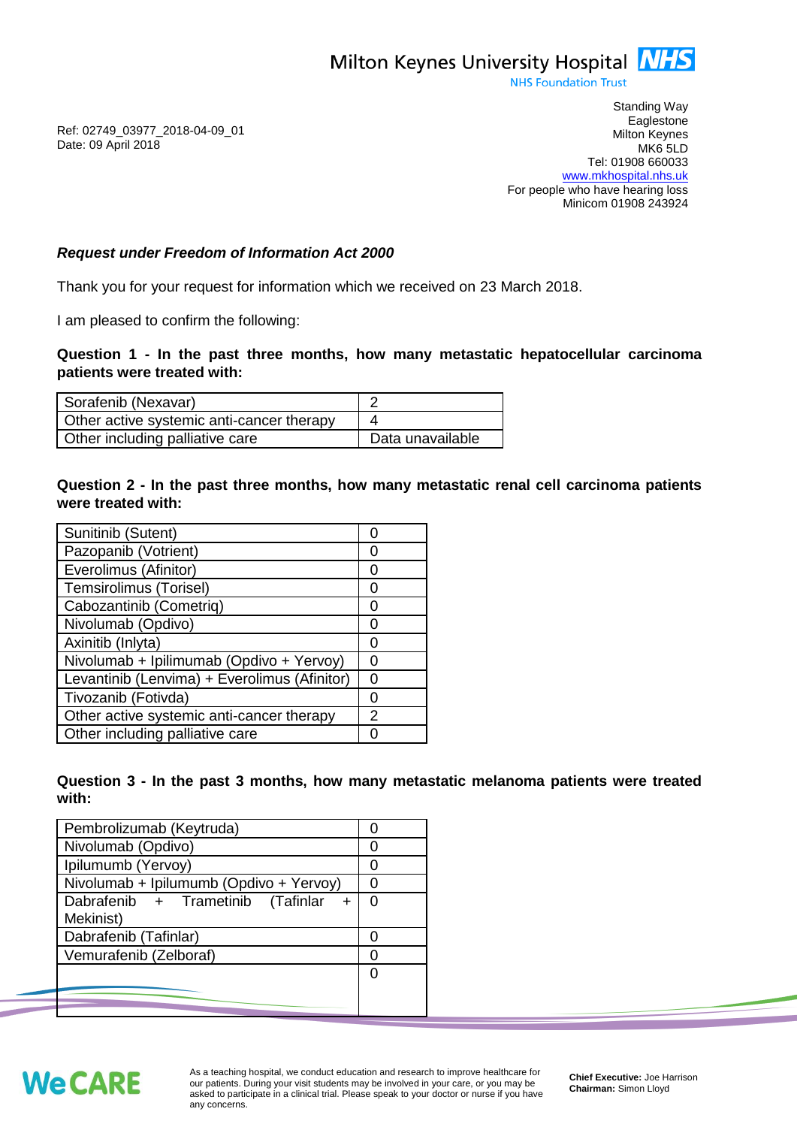**NHS Foundation Trust** 

Ref: 02749\_03977\_2018-04-09\_01 Date: 09 April 2018

Standing Way **Eaglestone** Milton Keynes MK6 5LD Tel: 01908 660033 [www.mkhospital.nhs.uk](http://www.mkhospital.nhs.uk/) For people who have hearing loss Minicom 01908 243924

## *Request under Freedom of Information Act 2000*

Thank you for your request for information which we received on 23 March 2018.

I am pleased to confirm the following:

**Question 1 - In the past three months, how many metastatic hepatocellular carcinoma patients were treated with:**

| Sorafenib (Nexavar)                       |                  |
|-------------------------------------------|------------------|
| Other active systemic anti-cancer therapy |                  |
| Other including palliative care           | Data unavailable |

**Question 2 - In the past three months, how many metastatic renal cell carcinoma patients were treated with:**

| Sunitinib (Sutent)                           | O                |
|----------------------------------------------|------------------|
| Pazopanib (Votrient)                         | O                |
| Everolimus (Afinitor)                        | O                |
| Temsirolimus (Torisel)                       | Ω                |
| Cabozantinib (Cometriq)                      | Ω                |
| Nivolumab (Opdivo)                           | O                |
| Axinitib (Inlyta)                            | $\left( \right)$ |
| Nivolumab + Ipilimumab (Opdivo + Yervoy)     | O                |
| Levantinib (Lenvima) + Everolimus (Afinitor) | O                |
| Tivozanib (Fotivda)                          | O                |
| Other active systemic anti-cancer therapy    | 2                |
| Other including palliative care              |                  |

**Question 3 - In the past 3 months, how many metastatic melanoma patients were treated with:**

| Pembrolizumab (Keytruda)                 |   |
|------------------------------------------|---|
| Nivolumab (Opdivo)                       |   |
| Ipilumumb (Yervoy)                       |   |
| Nivolumab + Ipilumumb (Opdivo + Yervoy)  |   |
| Dabrafenib + Trametinib (Tafinlar<br>$+$ | O |
| Mekinist)                                |   |
| Dabrafenib (Tafinlar)                    |   |
| Vemurafenib (Zelboraf)                   |   |
|                                          |   |
|                                          |   |
|                                          |   |



As a teaching hospital, we conduct education and research to improve healthcare for our patients. During your visit students may be involved in your care, or you may be asked to participate in a clinical trial. Please speak to your doctor or nurse if you have any concerns.

**Chief Executive:** Joe Harrison **Chairman:** Simon Lloyd